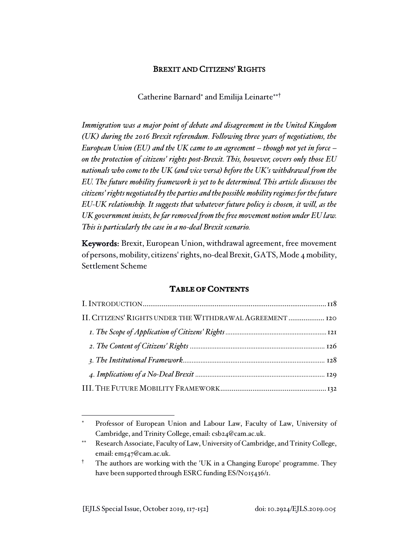# BREXIT AND CITIZENS' RIGHTS

Catherine Barnard<sup>\*</sup> and Emilija Leinarte<sup>\*\*†</sup>

*Immigration was a major point of debate and disagreement in the United Kingdom (UK) during the 2016 Brexit referendum. Following three years of negotiations, the European Union (EU) and the UK came to an agreement – though not yet in force – on the protection of citizens' rights post-Brexit. This, however, covers only those EU nationals who come to the UK (and vice versa) before the UK's withdrawal from the EU. The future mobility framework is yet to be determined. This article discusses the citizens' rights negotiated by the parties and the possible mobility regimes for the future EU-UK relationship. It suggests that whatever future policy is chosen, it will, as the UK government insists, be far removed from the free movement notion under EU law. This is particularly the case in a no-deal Brexit scenario.*

Keywords: Brexit, European Union, withdrawal agreement, free movement of persons, mobility, citizens' rights, no-deal Brexit, GATS, Mode 4 mobility, Settlement Scheme

# **TABLE OF CONTENTS**

| II. CITIZENS' RIGHTS UNDER THE WITHDRAWAL AGREEMENT  120 |  |
|----------------------------------------------------------|--|
|                                                          |  |
|                                                          |  |
|                                                          |  |
|                                                          |  |
|                                                          |  |

Professor of European Union and Labour Law, Faculty of Law, University of Cambridge, and Trinity College, email: csb24@cam.ac.uk.

Research Associate, Faculty of Law, University of Cambridge, and Trinity College, email: em547@cam.ac.uk.

<sup>†</sup> The authors are working with the 'UK in a Changing Europe' programme. They have been supported through ESRC funding ES/N015436/1.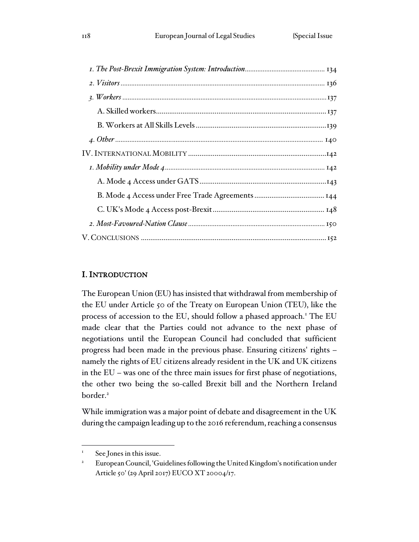# I. INTRODUCTION

The European Union (EU) has insisted that withdrawal from membership of the EU under Article 50 of the Treaty on European Union (TEU), like the process of accession to the EU, should follow a phased approach.<sup>1</sup> The EU made clear that the Parties could not advance to the next phase of negotiations until the European Council had concluded that sufficient progress had been made in the previous phase. Ensuring citizens' rights – namely the rights of EU citizens already resident in the UK and UK citizens in the EU – was one of the three main issues for first phase of negotiations, the other two being the so-called Brexit bill and the Northern Ireland border.<sup>2</sup>

While immigration was a major point of debate and disagreement in the UK during the campaign leading up to the 2016 referendum, reaching a consensus

See Jones in this issue.

<sup>&</sup>lt;sup>2</sup> European Council, 'Guidelines following the United Kingdom's notification under Article 50' (29 April 2017) EUCO XT 20004/17.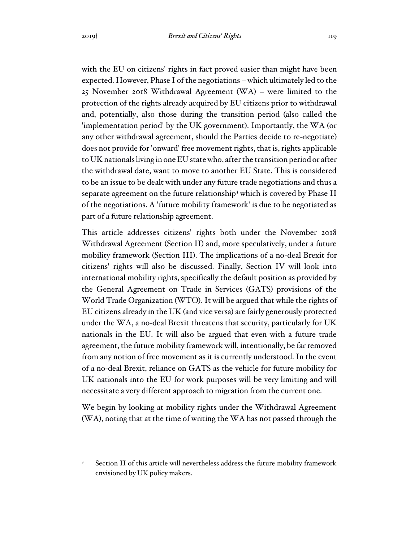with the EU on citizens' rights in fact proved easier than might have been expected. However, Phase I of the negotiations – which ultimately led to the 25 November 2018 Withdrawal Agreement (WA) – were limited to the protection of the rights already acquired by EU citizens prior to withdrawal and, potentially, also those during the transition period (also called the 'implementation period' by the UK government). Importantly, the WA (or any other withdrawal agreement, should the Parties decide to re-negotiate) does not provide for 'onward' free movement rights, that is, rights applicable to UK nationals living in one EU state who, after the transition period or after the withdrawal date, want to move to another EU State. This is considered to be an issue to be dealt with under any future trade negotiations and thus a separate agreement on the future relationship<sup>3</sup> which is covered by Phase II of the negotiations. A 'future mobility framework' is due to be negotiated as part of a future relationship agreement.

This article addresses citizens' rights both under the November 2018 Withdrawal Agreement (Section II) and, more speculatively, under a future mobility framework (Section III). The implications of a no-deal Brexit for citizens' rights will also be discussed. Finally, Section IV will look into international mobility rights, specifically the default position as provided by the General Agreement on Trade in Services (GATS) provisions of the World Trade Organization (WTO). It will be argued that while the rights of EU citizens already in the UK (and vice versa) are fairly generously protected under the WA, a no-deal Brexit threatens that security, particularly for UK nationals in the EU. It will also be argued that even with a future trade agreement, the future mobility framework will, intentionally, be far removed from any notion of free movement as it is currently understood. In the event of a no-deal Brexit, reliance on GATS as the vehicle for future mobility for UK nationals into the EU for work purposes will be very limiting and will necessitate a very different approach to migration from the current one.

We begin by looking at mobility rights under the Withdrawal Agreement (WA), noting that at the time of writing the WA has not passed through the

Section II of this article will nevertheless address the future mobility framework envisioned by UK policy makers.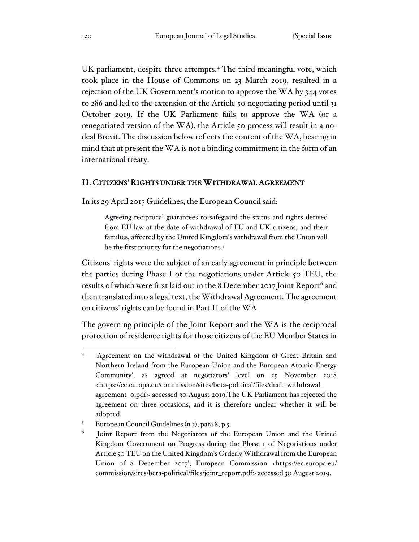UK parliament, despite three attempts.<sup>4</sup> The third meaningful vote, which took place in the House of Commons on 23 March 2019, resulted in a rejection of the UK Government's motion to approve the WA by 344 votes to 286 and led to the extension of the Article 50 negotiating period until 31 October 2019. If the UK Parliament fails to approve the WA (or a renegotiated version of the WA), the Article 50 process will result in a nodeal Brexit. The discussion below reflects the content of the WA, bearing in mind that at present the WA is not a binding commitment in the form of an international treaty.

## II. CITIZENS' RIGHTS UNDER THE WITHDRAWAL AGREEMENT

In its 29 April 2017 Guidelines, the European Council said:

Agreeing reciprocal guarantees to safeguard the status and rights derived from EU law at the date of withdrawal of EU and UK citizens, and their families, affected by the United Kingdom's withdrawal from the Union will be the first priority for the negotiations.<sup>5</sup>

Citizens' rights were the subject of an early agreement in principle between the parties during Phase I of the negotiations under Article 50 TEU, the results of which were first laid out in the 8 December 2017 Joint Report<sup>6</sup> and then translated into a legal text, the Withdrawal Agreement. The agreement on citizens' rights can be found in Part II of the WA.

The governing principle of the Joint Report and the WA is the reciprocal protection of residence rights for those citizens of the EU Member States in

<sup>4</sup> 'Agreement on the withdrawal of the United Kingdom of Great Britain and Northern Ireland from the European Union and the European Atomic Energy Community', as agreed at negotiators' level on 25 November 2018 <https://ec.europa.eu/commission/sites/beta-political/files/draft\_withdrawal\_ agreement\_0.pdf> accessed 30 August 2019.The UK Parliament has rejected the agreement on three occasions, and it is therefore unclear whether it will be adopted.

<sup>5</sup> European Council Guidelines (n 2), para 8, p 5.

<sup>6</sup> 'Joint Report from the Negotiators of the European Union and the United Kingdom Government on Progress during the Phase 1 of Negotiations under Article 50 TEU on the United Kingdom's Orderly Withdrawal from the European Union of 8 December 2017', European Commission <https://ec.europa.eu/ commission/sites/beta-political/files/joint\_report.pdf> accessed 30 August 2019.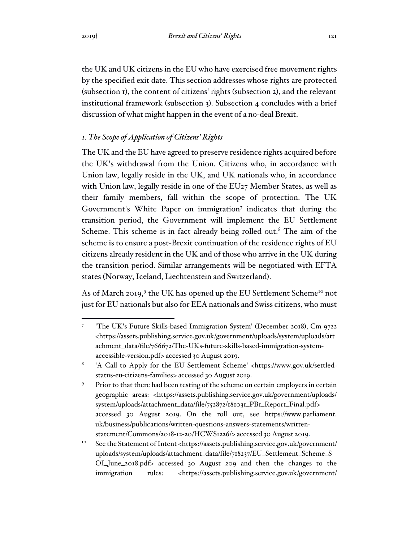the UK and UK citizens in the EU who have exercised free movement rights by the specified exit date. This section addresses whose rights are protected (subsection 1), the content of citizens' rights (subsection 2), and the relevant institutional framework (subsection 3). Subsection 4 concludes with a brief discussion of what might happen in the event of a no-deal Brexit.

# *1. The Scope of Application of Citizens' Rights*

The UK and the EU have agreed to preserve residence rights acquired before the UK's withdrawal from the Union. Citizens who, in accordance with Union law, legally reside in the UK, and UK nationals who, in accordance with Union law, legally reside in one of the EU27 Member States, as well as their family members, fall within the scope of protection. The UK Government's White Paper on immigration<sup>7</sup> indicates that during the transition period, the Government will implement the EU Settlement Scheme. This scheme is in fact already being rolled out.<sup>8</sup> The aim of the scheme is to ensure a post-Brexit continuation of the residence rights of EU citizens already resident in the UK and of those who arrive in the UK during the transition period. Similar arrangements will be negotiated with EFTA states (Norway, Iceland, Liechtenstein and Switzerland).

As of March 2019,<sup>9</sup> the UK has opened up the EU Settlement Scheme<sup>10</sup> not just for EU nationals but also for EEA nationals and Swiss citizens, who must

<sup>7</sup> 'The UK's Future Skills-based Immigration System' (December 2018), Cm 9722 <https://assets.publishing.service.gov.uk/government/uploads/system/uploads/att achment\_data/file/766672/The-UKs-future-skills-based-immigration-systemaccessible-version.pdf> accessed 30 August 2019.

<sup>8</sup> 'A Call to Apply for the EU Settlement Scheme' <https://www.gov.uk/settledstatus-eu-citizens-families> accessed 30 August 2019.

<sup>&</sup>lt;sup>9</sup> Prior to that there had been testing of the scheme on certain employers in certain geographic areas: <https://assets.publishing.service.gov.uk/government/uploads/ system/uploads/attachment\_data/file/752872/181031\_PB1\_Report\_Final.pdf> accessed 30 August 2019. On the roll out, see https://www.parliament. uk/business/publications/written-questions-answers-statements/writtenstatement/Commons/2018-12-20/HCWS1226/> accessed 30 August 2019.

<sup>&</sup>lt;sup>10</sup> See the Statement of Intent <https://assets.publishing.service.gov.uk/government/ uploads/system/uploads/attachment\_data/file/718237/EU\_Settlement\_Scheme\_S OI\_June\_2018.pdf> accessed 30 August 209 and then the changes to the immigration rules: <https://assets.publishing.service.gov.uk/government/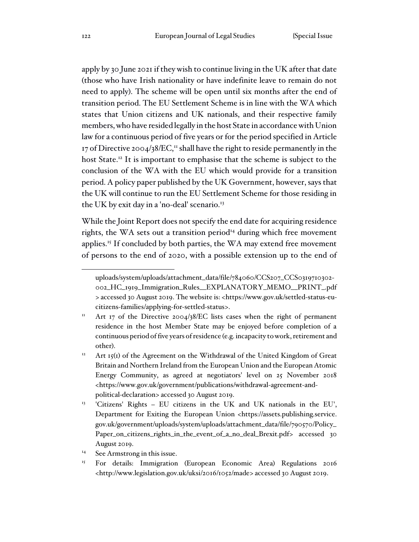apply by 30 June 2021 if they wish to continue living in the UK after that date (those who have Irish nationality or have indefinite leave to remain do not need to apply). The scheme will be open until six months after the end of transition period. The EU Settlement Scheme is in line with the WA which states that Union citizens and UK nationals, and their respective family members, who have resided legally in the host State in accordance with Union law for a continuous period of five years or for the period specified in Article 17 of Directive 2004/38/EC,<sup>11</sup> shall have the right to reside permanently in the host State.<sup>12</sup> It is important to emphasise that the scheme is subject to the conclusion of the WA with the EU which would provide for a transition period. A policy paper published by the UK Government, however, says that the UK will continue to run the EU Settlement Scheme for those residing in the UK by exit day in a 'no-deal' scenario.<sup>13</sup>

While the Joint Report does not specify the end date for acquiring residence rights, the WA sets out a transition period<sup>14</sup> during which free movement applies.<sup>15</sup> If concluded by both parties, the WA may extend free movement of persons to the end of 2020, with a possible extension up to the end of

uploads/system/uploads/attachment\_data/file/784060/CCS207\_CCS0319710302- 002\_HC\_1919\_Immigration\_Rules\_\_EXPLANATORY\_MEMO\_\_PRINT\_.pdf > accessed 30 August 2019. The website is: <https://www.gov.uk/settled-status-eucitizens-families/applying-for-settled-status>.

<sup>&</sup>lt;sup>11</sup> Art 17 of the Directive 2004/38/EC lists cases when the right of permanent residence in the host Member State may be enjoyed before completion of a continuous period of five years of residence (e.g. incapacity to work, retirement and other).

<sup>&</sup>lt;sup>12</sup> Art 15(1) of the Agreement on the Withdrawal of the United Kingdom of Great Britain and Northern Ireland from the European Union and the European Atomic Energy Community, as agreed at negotiators' level on 25 November 2018 <https://www.gov.uk/government/publications/withdrawal-agreement-andpolitical-declaration> accessed 30 August 2019.

<sup>13</sup> 'Citizens' Rights – EU citizens in the UK and UK nationals in the EU', Department for Exiting the European Union <https://assets.publishing.service. gov.uk/government/uploads/system/uploads/attachment\_data/file/790570/Policy\_ Paper\_on\_citizens\_rights\_in\_the\_event\_of\_a\_no\_deal\_Brexit.pdf> accessed 30 August 2019.

<sup>&</sup>lt;sup>14</sup> See Armstrong in this issue.

<sup>&</sup>lt;sup>15</sup> For details: Immigration (European Economic Area) Regulations 2016 <http://www.legislation.gov.uk/uksi/2016/1052/made> accessed 30 August 2019.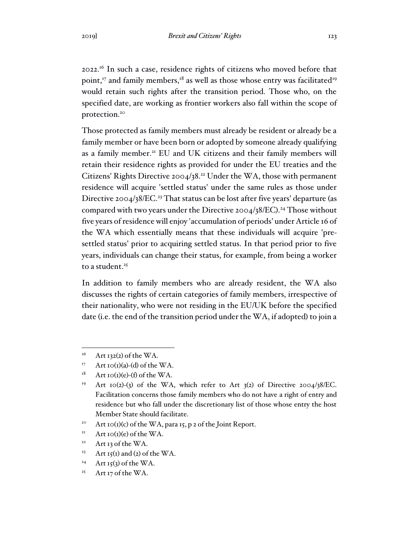2022.<sup>16</sup> In such a case, residence rights of citizens who moved before that point, $17$  and family members, $18$  as well as those whose entry was facilitated<sup>19</sup> would retain such rights after the transition period. Those who, on the specified date, are working as frontier workers also fall within the scope of protection.<sup>20</sup>

Those protected as family members must already be resident or already be a family member or have been born or adopted by someone already qualifying as a family member.<sup>21</sup> EU and UK citizens and their family members will retain their residence rights as provided for under the EU treaties and the Citizens' Rights Directive 2004/38.<sup>22</sup> Under the WA, those with permanent residence will acquire 'settled status' under the same rules as those under Directive 2004/38/EC.<sup>23</sup> That status can be lost after five years' departure (as compared with two years under the Directive  $2004/38/EC$ ).<sup>24</sup> Those without five years of residence will enjoy 'accumulation of periods' under Article 16 of the WA which essentially means that these individuals will acquire 'presettled status' prior to acquiring settled status. In that period prior to five years, individuals can change their status, for example, from being a worker to a student.<sup>25</sup>

In addition to family members who are already resident, the WA also discusses the rights of certain categories of family members, irrespective of their nationality, who were not residing in the EU/UK before the specified date (i.e. the end of the transition period under the WA, if adopted) to join a

- <sup>20</sup> Art 10(1)(c) of the WA, para 15, p 2 of the Joint Report.
- <sup>21</sup> Art 10(1)(e) of the WA.
- <sup>22</sup> Art 13 of the WA.
- <sup>23</sup> Art 15(1) and (2) of the WA.
- <sup>24</sup> Art 15(3) of the WA.
- <sup>25</sup> Art 17 of the WA.

 $16$  Art 132(2) of the WA.

<sup>&</sup>lt;sup>17</sup> Art 10(1)(a)-(d) of the WA.

 $18$  Art 10(1)(e)-(f) of the WA.

<sup>&</sup>lt;sup>19</sup> Art 10(2)-(3) of the WA, which refer to Art  $3(2)$  of Directive 2004/38/EC. Facilitation concerns those family members who do not have a right of entry and residence but who fall under the discretionary list of those whose entry the host Member State should facilitate.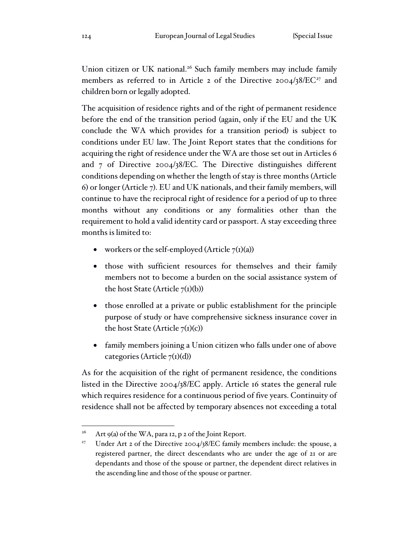Union citizen or UK national.<sup>26</sup> Such family members may include family members as referred to in Article 2 of the Directive 2004/38/EC<sup>27</sup> and children born or legally adopted.

The acquisition of residence rights and of the right of permanent residence before the end of the transition period (again, only if the EU and the UK conclude the WA which provides for a transition period) is subject to conditions under EU law. The Joint Report states that the conditions for acquiring the right of residence under the WA are those set out in Articles 6 and 7 of Directive 2004/38/EC. The Directive distinguishes different conditions depending on whether the length of stay is three months (Article 6) or longer (Article 7). EU and UK nationals, and their family members, will continue to have the reciprocal right of residence for a period of up to three months without any conditions or any formalities other than the requirement to hold a valid identity card or passport. A stay exceeding three months is limited to:

- workers or the self-employed (Article  $7<sub>(1)</sub>(a)$ )
- those with sufficient resources for themselves and their family members not to become a burden on the social assistance system of the host State (Article  $7(I)(b)$ )
- those enrolled at a private or public establishment for the principle purpose of study or have comprehensive sickness insurance cover in the host State (Article  $7(I)(c)$ )
- family members joining a Union citizen who falls under one of above categories (Article  $7<sub>(1)</sub>(d)$ )

As for the acquisition of the right of permanent residence, the conditions listed in the Directive 2004/38/EC apply. Article 16 states the general rule which requires residence for a continuous period of five years. Continuity of residence shall not be affected by temporary absences not exceeding a total

<sup>&</sup>lt;sup>26</sup> Art 9(a) of the WA, para 12, p 2 of the Joint Report.

<sup>&</sup>lt;sup>27</sup> Under Art 2 of the Directive 2004/38/EC family members include: the spouse, a registered partner, the direct descendants who are under the age of 21 or are dependants and those of the spouse or partner, the dependent direct relatives in the ascending line and those of the spouse or partner.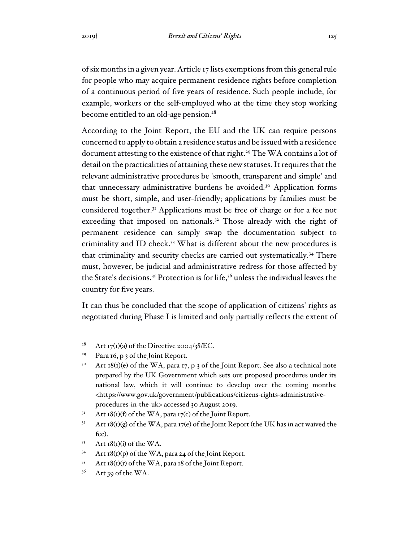of six months in a given year. Article 17 lists exemptions from this general rule for people who may acquire permanent residence rights before completion of a continuous period of five years of residence. Such people include, for example, workers or the self-employed who at the time they stop working become entitled to an old-age pension.<sup>28</sup>

According to the Joint Report, the EU and the UK can require persons concerned to apply to obtain a residence status and be issued with a residence document attesting to the existence of that right.<sup>29</sup> The WA contains a lot of detail on the practicalities of attaining these new statuses. It requires that the relevant administrative procedures be 'smooth, transparent and simple' and that unnecessary administrative burdens be avoided.<sup>30</sup> Application forms must be short, simple, and user-friendly; applications by families must be considered together.<sup>31</sup> Applications must be free of charge or for a fee not exceeding that imposed on nationals.<sup>32</sup> Those already with the right of permanent residence can simply swap the documentation subject to criminality and ID check.<sup>33</sup> What is different about the new procedures is that criminality and security checks are carried out systematically.<sup>34</sup> There must, however, be judicial and administrative redress for those affected by the State's decisions.<sup>35</sup> Protection is for life,<sup>36</sup> unless the individual leaves the country for five years.

It can thus be concluded that the scope of application of citizens' rights as negotiated during Phase I is limited and only partially reflects the extent of

<sup>&</sup>lt;sup>28</sup> Art 17(1)(a) of the Directive 2004/38/EC.

<sup>&</sup>lt;sup>29</sup> Para 16, p 3 of the Joint Report.

<sup>&</sup>lt;sup>30</sup> Art  $18(i)(e)$  of the WA, para 17, p 3 of the Joint Report. See also a technical note prepared by the UK Government which sets out proposed procedures under its national law, which it will continue to develop over the coming months: <https://www.gov.uk/government/publications/citizens-rights-administrativeprocedures-in-the-uk> accessed 30 August 2019.

 $3<sup>1</sup>$  Art 18(1)(f) of the WA, para 17(c) of the Joint Report.

 $32$  Art 18(1)(g) of the WA, para 17(e) of the Joint Report (the UK has in act waived the fee).

 $33$  Art 18(1)(i) of the WA.

 $34$  Art  $18(i)(p)$  of the WA, para 24 of the Joint Report.

 $35$  Art  $18(I)(r)$  of the WA, para 18 of the Joint Report.

 $36$  Art 39 of the WA.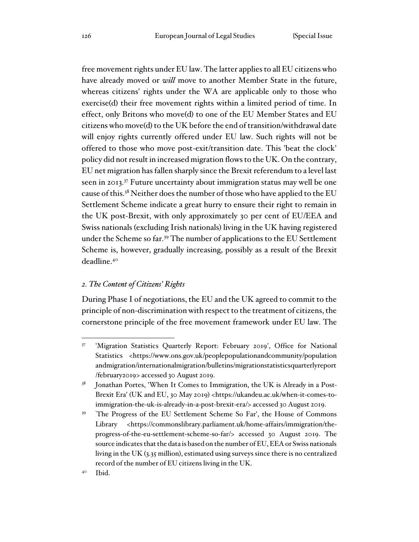free movement rights under EU law. The latter applies to all EU citizens who have already moved or *will* move to another Member State in the future, whereas citizens' rights under the WA are applicable only to those who exercise(d) their free movement rights within a limited period of time. In effect, only Britons who move(d) to one of the EU Member States and EU citizens who move(d) to the UK before the end of transition/withdrawal date will enjoy rights currently offered under EU law. Such rights will not be offered to those who move post-exit/transition date. This 'beat the clock' policy did not result in increased migration flows to the UK. On the contrary, EU net migration has fallen sharply since the Brexit referendum to a level last seen in 2013.<sup>37</sup> Future uncertainty about immigration status may well be one cause of this.<sup>38</sup> Neither does the number of those who have applied to the EU Settlement Scheme indicate a great hurry to ensure their right to remain in the UK post-Brexit, with only approximately 30 per cent of EU/EEA and Swiss nationals (excluding Irish nationals) living in the UK having registered under the Scheme so far.<sup>39</sup> The number of applications to the EU Settlement Scheme is, however, gradually increasing, possibly as a result of the Brexit deadline.<sup>40</sup>

## *2. The Content of Citizens' Rights*

During Phase I of negotiations, the EU and the UK agreed to commit to the principle of non-discrimination with respect to the treatment of citizens, the cornerstone principle of the free movement framework under EU law. The

<sup>37</sup> 'Migration Statistics Quarterly Report: February 2019', Office for National Statistics <https://www.ons.gov.uk/peoplepopulationandcommunity/population andmigration/internationalmigration/bulletins/migrationstatisticsquarterlyreport /february2019> accessed 30 August 2019.

<sup>&</sup>lt;sup>38</sup> Jonathan Portes, 'When It Comes to Immigration, the UK is Already in a Post-Brexit Era' (UK and EU, 30 May 2019) <https://ukandeu.ac.uk/when-it-comes-toimmigration-the-uk-is-already-in-a-post-brexit-era/> accessed 30 August 2019.

The Progress of the EU Settlement Scheme So Far', the House of Commons Library <https://commonslibrary.parliament.uk/home-affairs/immigration/theprogress-of-the-eu-settlement-scheme-so-far/> accessed 30 August 2019. The source indicates that the data is based on the number of EU, EEA or Swiss nationals living in the UK (3.35 million), estimated using surveys since there is no centralized record of the number of EU citizens living in the UK.

<sup>40</sup> Ibid.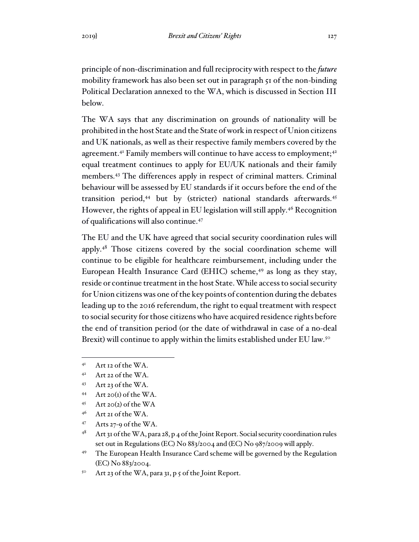principle of non-discrimination and full reciprocity with respect to the *future* mobility framework has also been set out in paragraph 51 of the non-binding Political Declaration annexed to the WA, which is discussed in Section III below.

The WA says that any discrimination on grounds of nationality will be prohibited in the host State and the State of work in respect of Union citizens and UK nationals, as well as their respective family members covered by the agreement.<sup>41</sup> Family members will continue to have access to employment;<sup>42</sup> equal treatment continues to apply for EU/UK nationals and their family members.<sup>43</sup> The differences apply in respect of criminal matters. Criminal behaviour will be assessed by EU standards if it occurs before the end of the transition period,<sup>44</sup> but by (stricter) national standards afterwards.<sup>45</sup> However, the rights of appeal in EU legislation will still apply.<sup>46</sup> Recognition of qualifications will also continue.<sup>47</sup>

The EU and the UK have agreed that social security coordination rules will apply.<sup>48</sup> Those citizens covered by the social coordination scheme will continue to be eligible for healthcare reimbursement, including under the European Health Insurance Card (EHIC) scheme,<sup>49</sup> as long as they stay, reside or continue treatment in the host State. While access to social security for Union citizens was one of the key points of contention during the debates leading up to the 2016 referendum, the right to equal treatment with respect to social security for those citizens who have acquired residence rights before the end of transition period (or the date of withdrawal in case of a no-deal Brexit) will continue to apply within the limits established under EU law.<sup>50</sup>

- <sup>44</sup> Art 20(1) of the WA.
- $45$  Art 20(2) of the WA
- <sup>46</sup> Art 21 of the WA.
- $47$  Arts 27-9 of the WA.
- $48$  Art 31 of the WA, para 28, p 4 of the Joint Report. Social security coordination rules set out in Regulations (EC) No 883/2004 and (EC) No 987/2009 will apply.
- <sup>49</sup> The European Health Insurance Card scheme will be governed by the Regulation (EC) No 883/2004.
- <sup>50</sup> Art 23 of the WA, para 31, p 5 of the Joint Report.

<sup>41</sup> Art 12 of the WA.

<sup>42</sup> Art 22 of the WA.

<sup>43</sup> Art 23 of the WA.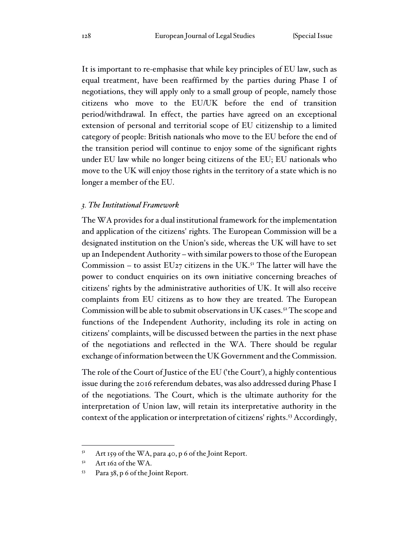It is important to re-emphasise that while key principles of EU law, such as equal treatment, have been reaffirmed by the parties during Phase I of negotiations, they will apply only to a small group of people, namely those citizens who move to the EU/UK before the end of transition period/withdrawal. In effect, the parties have agreed on an exceptional extension of personal and territorial scope of EU citizenship to a limited category of people: British nationals who move to the EU before the end of the transition period will continue to enjoy some of the significant rights under EU law while no longer being citizens of the EU; EU nationals who move to the UK will enjoy those rights in the territory of a state which is no longer a member of the EU.

#### *3. The Institutional Framework*

The WA provides for a dual institutional framework for the implementation and application of the citizens' rights. The European Commission will be a designated institution on the Union's side, whereas the UK will have to set up an Independent Authority – with similar powers to those of the European Commission – to assist  $EUz$  citizens in the UK.<sup>51</sup> The latter will have the power to conduct enquiries on its own initiative concerning breaches of citizens' rights by the administrative authorities of UK. It will also receive complaints from EU citizens as to how they are treated. The European Commission will be able to submit observations in UK cases.<sup>52</sup> The scope and functions of the Independent Authority, including its role in acting on citizens' complaints, will be discussed between the parties in the next phase of the negotiations and reflected in the WA. There should be regular exchange of information between the UK Government and the Commission.

The role of the Court of Justice of the EU ('the Court'), a highly contentious issue during the 2016 referendum debates, was also addressed during Phase I of the negotiations. The Court, which is the ultimate authority for the interpretation of Union law, will retain its interpretative authority in the context of the application or interpretation of citizens' rights. <sup>53</sup> Accordingly,

 $5<sup>1</sup>$  Art 159 of the WA, para 40, p 6 of the Joint Report.

 $52$  Art 162 of the WA.

<sup>53</sup> Para 38, p 6 of the Joint Report.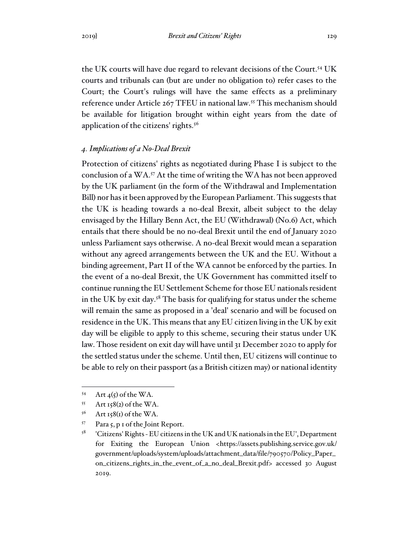the UK courts will have due regard to relevant decisions of the Court.<sup>54</sup> UK courts and tribunals can (but are under no obligation to) refer cases to the Court; the Court's rulings will have the same effects as a preliminary reference under Article 267 TFEU in national law.<sup>55</sup> This mechanism should be available for litigation brought within eight years from the date of application of the citizens' rights.<sup>56</sup>

### *4. Implications of a No-Deal Brexit*

Protection of citizens' rights as negotiated during Phase I is subject to the conclusion of a WA.<sup>57</sup> At the time of writing the WA has not been approved by the UK parliament (in the form of the Withdrawal and Implementation Bill) nor has it been approved by the European Parliament. This suggests that the UK is heading towards a no-deal Brexit, albeit subject to the delay envisaged by the Hillary Benn Act, the EU (Withdrawal) (No.6) Act, which entails that there should be no no-deal Brexit until the end of January 2020 unless Parliament says otherwise. A no-deal Brexit would mean a separation without any agreed arrangements between the UK and the EU. Without a binding agreement, Part II of the WA cannot be enforced by the parties. In the event of a no-deal Brexit, the UK Government has committed itself to continue running the EU Settlement Scheme for those EU nationals resident in the UK by exit day.<sup>58</sup> The basis for qualifying for status under the scheme will remain the same as proposed in a 'deal' scenario and will be focused on residence in the UK. This means that any EU citizen living in the UK by exit day will be eligible to apply to this scheme, securing their status under UK law. Those resident on exit day will have until 31 December 2020 to apply for the settled status under the scheme. Until then, EU citizens will continue to be able to rely on their passport (as a British citizen may) or national identity

<sup>54</sup> Art  $4(5)$  of the WA.

 $55$  Art 158(2) of the WA.

 $56$  Art 158(1) of the WA.

<sup>57</sup> Para 5, p 1 of the Joint Report.

<sup>58</sup> 'Citizens' Rights - EU citizens in the UK and UK nationals in the EU', Department for Exiting the European Union <https://assets.publishing.service.gov.uk/ government/uploads/system/uploads/attachment\_data/file/790570/Policy\_Paper\_ on\_citizens\_rights\_in\_the\_event\_of\_a\_no\_deal\_Brexit.pdf> accessed 30 August 2019.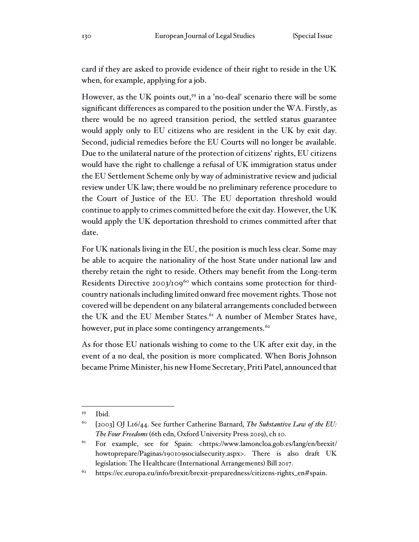card if they are asked to provide evidence of their right to reside in the UK when, for example, applying for a job.

However, as the UK points out,<sup>59</sup> in a 'no-deal' scenario there will be some significant differences as compared to the position under the WA. Firstly, as there would be no agreed transition period, the settled status guarantee would apply only to EU citizens who are resident in the UK by exit day. Second, judicial remedies before the EU Courts will no longer be available. Due to the unilateral nature of the protection of citizens' rights, EU citizens would have the right to challenge a refusal of UK immigration status under the EU Settlement Scheme only by way of administrative review and judicial review under UK law; there would be no preliminary reference procedure to the Court of Justice of the EU. The EU deportation threshold would continue to apply to crimes committed before the exit day. However, the UK would apply the UK deportation threshold to crimes committed after that date.

For UK nationals living in the EU, the position is much less clear. Some may be able to acquire the nationality of the host State under national law and thereby retain the right to reside. Others may benefit from the Long-term Residents Directive 2003/109<sup>60</sup> which contains some protection for thirdcountry nationals including limited onward free movement rights. Those not covered will be dependent on any bilateral arrangements concluded between the UK and the EU Member States.<sup>61</sup> A number of Member States have, however, put in place some contingency arrangements.<sup>62</sup>

As for those EU nationals wishing to come to the UK after exit day, in the event of a no deal, the position is more complicated. When Boris Johnson became Prime Minister, his new Home Secretary, Priti Patel, announced that

<sup>59</sup> Ibid.

<sup>60</sup> [2003] OJ L16/44. See further Catherine Barnard, *The Substantive Law of the EU: The Four Freedoms* (6th edn, Oxford University Press 2019), ch 10.

For example, see for Spain: <https://www.lamoncloa.gob.es/lang/en/brexit/ howtoprepare/Paginas/190109socialsecurity.aspx>. There is also draft UK legislation: The Healthcare (International Arrangements) Bill 2017.

<sup>62</sup> https://ec.europa.eu/info/brexit/brexit-preparedness/citizens-rights\_en#spain.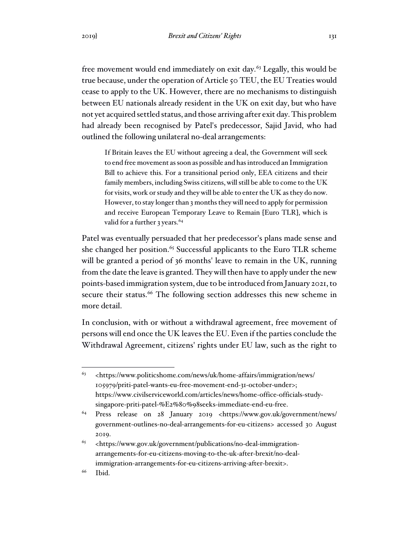free movement would end immediately on exit day.<sup>63</sup> Legally, this would be true because, under the operation of Article 50 TEU, the EU Treaties would cease to apply to the UK. However, there are no mechanisms to distinguish between EU nationals already resident in the UK on exit day, but who have not yet acquired settled status, and those arriving after exit day. This problem had already been recognised by Patel's predecessor, Sajid Javid, who had outlined the following unilateral no-deal arrangements:

If Britain leaves the EU without agreeing a deal, the Government will seek to end free movement as soon as possible and has introduced an Immigration Bill to achieve this. For a transitional period only, EEA citizens and their family members, including Swiss citizens, will still be able to come to the UK for visits, work or study and they will be able to enter the UK as they do now. However, to stay longer than 3 months they will need to apply for permission and receive European Temporary Leave to Remain [Euro TLR], which is valid for a further 3 years.<sup>64</sup>

Patel was eventually persuaded that her predecessor's plans made sense and she changed her position. <sup>65</sup> Successful applicants to the Euro TLR scheme will be granted a period of 36 months' leave to remain in the UK, running from the date the leave is granted. They will then have to apply under the new points-based immigration system, due to be introduced from January 2021, to secure their status.<sup>66</sup> The following section addresses this new scheme in more detail.

In conclusion, with or without a withdrawal agreement, free movement of persons will end once the UK leaves the EU. Even if the parties conclude the Withdrawal Agreement, citizens' rights under EU law, such as the right to

<sup>63</sup> <https://www.politicshome.com/news/uk/home-affairs/immigration/news/ 105979/priti-patel-wants-eu-free-movement-end-31-october-under>; https://www.civilserviceworld.com/articles/news/home-office-officials-studysingapore-priti-patel-%E2%80%98seeks-immediate-end-eu-free.

<sup>64</sup> Press release on 28 January 2019 <https://www.gov.uk/government/news/ government-outlines-no-deal-arrangements-for-eu-citizens> accessed 30 August 2019.

 $^{65}$  <https://www.gov.uk/government/publications/no-deal-immigrationarrangements-for-eu-citizens-moving-to-the-uk-after-brexit/no-dealimmigration-arrangements-for-eu-citizens-arriving-after-brexit>.

<sup>66</sup> Ibid.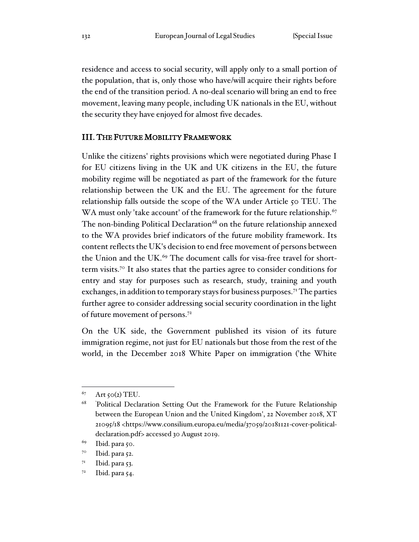residence and access to social security, will apply only to a small portion of the population, that is, only those who have/will acquire their rights before the end of the transition period. A no-deal scenario will bring an end to free movement, leaving many people, including UK nationals in the EU, without the security they have enjoyed for almost five decades.

### III. THE FUTURE MOBILITY FRAMEWORK

Unlike the citizens' rights provisions which were negotiated during Phase I for EU citizens living in the UK and UK citizens in the EU, the future mobility regime will be negotiated as part of the framework for the future relationship between the UK and the EU. The agreement for the future relationship falls outside the scope of the WA under Article 50 TEU. The WA must only 'take account' of the framework for the future relationship.<sup>67</sup> The non-binding Political Declaration $^{68}$  on the future relationship annexed to the WA provides brief indicators of the future mobility framework. Its content reflects the UK's decision to end free movement of persons between the Union and the UK.<sup>69</sup> The document calls for visa-free travel for shortterm visits.<sup>70</sup> It also states that the parties agree to consider conditions for entry and stay for purposes such as research, study, training and youth exchanges, in addition to temporary stays for business purposes.<sup>71</sup> The parties further agree to consider addressing social security coordination in the light of future movement of persons.<sup>72</sup>

On the UK side, the Government published its vision of its future immigration regime, not just for EU nationals but those from the rest of the world, in the December 2018 White Paper on immigration ('the White

 $67$  Art 50(2) TEU.

<sup>&</sup>lt;sup>68</sup> 'Political Declaration Setting Out the Framework for the Future Relationship between the European Union and the United Kingdom', 22 November 2018, XT 21095/18 <https://www.consilium.europa.eu/media/37059/20181121-cover-politicaldeclaration.pdf> accessed 30 August 2019.

<sup>69</sup> Ibid. para 50.

<sup>70</sup> Ibid. para 52.

 $7<sup>I</sup>$  Ibid. para 53.

 $7<sup>2</sup>$  Ibid. para 54.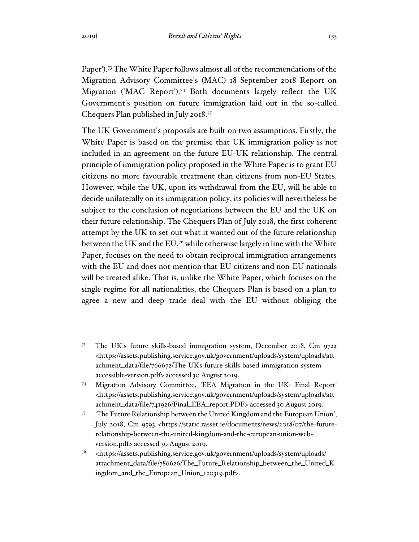Paper').<sup>73</sup> The White Paper follows almost all of the recommendations of the Migration Advisory Committee's (MAC) 18 September 2018 Report on Migration ('MAC Report').<sup>74</sup> Both documents largely reflect the UK Government's position on future immigration laid out in the so-called Chequers Plan published in July 2018.<sup>75</sup>

The UK Government's proposals are built on two assumptions. Firstly, the White Paper is based on the premise that UK immigration policy is not included in an agreement on the future EU-UK relationship. The central principle of immigration policy proposed in the White Paper is to grant EU citizens no more favourable treatment than citizens from non-EU States. However, while the UK, upon its withdrawal from the EU, will be able to decide unilaterally on its immigration policy, its policies will nevertheless be subject to the conclusion of negotiations between the EU and the UK on their future relationship. The Chequers Plan of July 2018, the first coherent attempt by the UK to set out what it wanted out of the future relationship between the UK and the EU,<sup>76</sup> while otherwise largely in line with the White Paper, focuses on the need to obtain reciprocal immigration arrangements with the EU and does not mention that EU citizens and non-EU nationals will be treated alike. That is, unlike the White Paper, which focuses on the single regime for all nationalities, the Chequers Plan is based on a plan to agree a new and deep trade deal with the EU without obliging the

<sup>73</sup> The UK's future skills-based immigration system, December 2018, Cm 9722 <https://assets.publishing.service.gov.uk/government/uploads/system/uploads/att achment\_data/file/766672/The-UKs-future-skills-based-immigration-systemaccessible-version.pdf> accessed 30 August 2019.

<sup>74</sup> Migration Advisory Committee, 'EEA Migration in the UK: Final Report' <https://assets.publishing.service.gov.uk/government/uploads/system/uploads/att achment\_data/file/741926/Final\_EEA\_report.PDF> accessed 30 August 2019.

<sup>&</sup>lt;sup>75</sup> 'The Future Relationship between the United Kingdom and the European Union', July 2018, Cm 9593 <https://static.rasset.ie/documents/news/2018/07/the-futurerelationship-between-the-united-kingdom-and-the-european-union-webversion.pdf> accessed 30 August 2019.

<sup>76</sup> <https://assets.publishing.service.gov.uk/government/uploads/system/uploads/ attachment\_data/file/786626/The\_Future\_Relationship\_between\_the\_United\_K ingdom\_and\_the\_European\_Union\_120319.pdf>.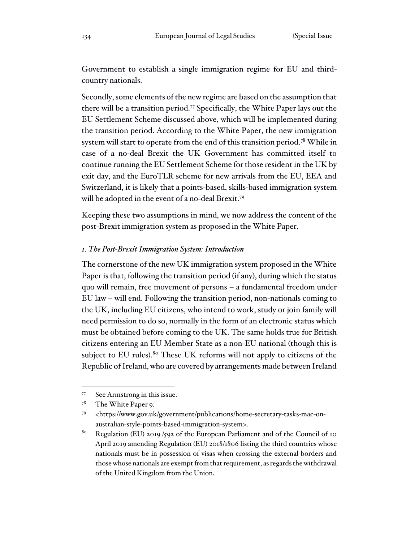Government to establish a single immigration regime for EU and thirdcountry nationals.

Secondly, some elements of the new regime are based on the assumption that there will be a transition period.<sup>77</sup> Specifically, the White Paper lays out the EU Settlement Scheme discussed above, which will be implemented during the transition period. According to the White Paper, the new immigration system will start to operate from the end of this transition period.<sup>78</sup> While in case of a no-deal Brexit the UK Government has committed itself to continue running the EU Settlement Scheme for those resident in the UK by exit day, and the EuroTLR scheme for new arrivals from the EU, EEA and Switzerland, it is likely that a points-based, skills-based immigration system will be adopted in the event of a no-deal Brexit.<sup>79</sup>

Keeping these two assumptions in mind, we now address the content of the post-Brexit immigration system as proposed in the White Paper.

#### *1. The Post-Brexit Immigration System: Introduction*

The cornerstone of the new UK immigration system proposed in the White Paper is that, following the transition period (if any), during which the status quo will remain, free movement of persons – a fundamental freedom under EU law – will end. Following the transition period, non-nationals coming to the UK, including EU citizens, who intend to work, study or join family will need permission to do so, normally in the form of an electronic status which must be obtained before coming to the UK. The same holds true for British citizens entering an EU Member State as a non-EU national (though this is subject to EU rules).<sup>80</sup> These UK reforms will not apply to citizens of the Republic of Ireland, who are covered by arrangements made between Ireland

<sup>77</sup> See Armstrong in this issue.

<sup>78</sup> The White Paper 9.

<sup>79</sup> <https://www.gov.uk/government/publications/home-secretary-tasks-mac-onaustralian-style-points-based-immigration-system>.

<sup>&</sup>lt;sup>80</sup> Regulation (EU) 2019 /592 of the European Parliament and of the Council of 10 April 2019 amending Regulation (EU) 2018/1806 listing the third countries whose nationals must be in possession of visas when crossing the external borders and those whose nationals are exempt from that requirement, as regards the withdrawal of the United Kingdom from the Union.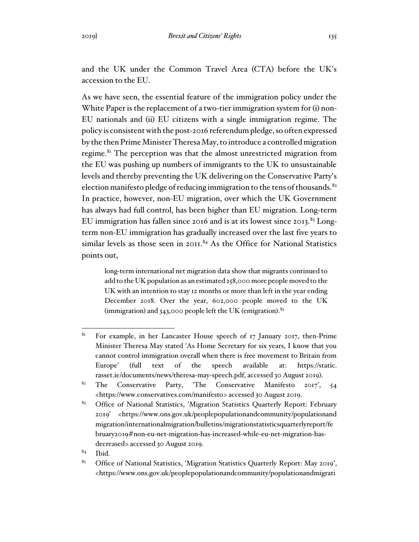and the UK under the Common Travel Area (CTA) before the UK's accession to the EU.

As we have seen, the essential feature of the immigration policy under the White Paper is the replacement of a two-tier immigration system for (i) non-EU nationals and (ii) EU citizens with a single immigration regime. The policy is consistent with the post-2016 referendum pledge, so often expressed by the then Prime Minister Theresa May, to introduce a controlled migration regime.<sup>81</sup> The perception was that the almost unrestricted migration from the EU was pushing up numbers of immigrants to the UK to unsustainable levels and thereby preventing the UK delivering on the Conservative Party's election manifesto pledge of reducing immigration to the tens of thousands.<sup>82</sup> In practice, however, non-EU migration, over which the UK Government has always had full control, has been higher than EU migration. Long-term EU immigration has fallen since 2016 and is at its lowest since 2013. $83$  Longterm non-EU immigration has gradually increased over the last five years to similar levels as those seen in 2011.<sup>84</sup> As the Office for National Statistics points out,

long-term international net migration data show that migrants continued to add to the UK population as an estimated 258,000 more people moved to the UK with an intention to stay 12 months or more than left in the year ending December 2018. Over the year, 602,000 people moved to the UK (immigration) and  $343,000$  people left the UK (emigration).  $85$ 

 $84$  Ibid.

<sup>&</sup>lt;sup>81</sup> For example, in her Lancaster House speech of 17 January 2017, then-Prime Minister Theresa May stated 'As Home Secretary for six years, I know that you cannot control immigration overall when there is free movement to Britain from Europe' (full text of the speech available at: https://static. rasset.ie/documents/news/theresa-may-speech.pdf, accessed 30 August 2019).

<sup>&</sup>lt;sup>82</sup> The Conservative Party, 'The Conservative Manifesto 2017', 54 <https://www.conservatives.com/manifesto> accessed 30 August 2019.

<sup>&</sup>lt;sup>83</sup> Office of National Statistics, 'Migration Statistics Quarterly Report: February 2019' <https://www.ons.gov.uk/peoplepopulationandcommunity/populationand migration/internationalmigration/bulletins/migrationstatisticsquarterlyreport/fe bruary2019#non-eu-net-migration-has-increased-while-eu-net-migration-hasdecreased> accessed 30 August 2019.

<sup>85</sup> Office of National Statistics, 'Migration Statistics Quarterly Report: May 2019', <https://www.ons.gov.uk/peoplepopulationandcommunity/populationandmigrati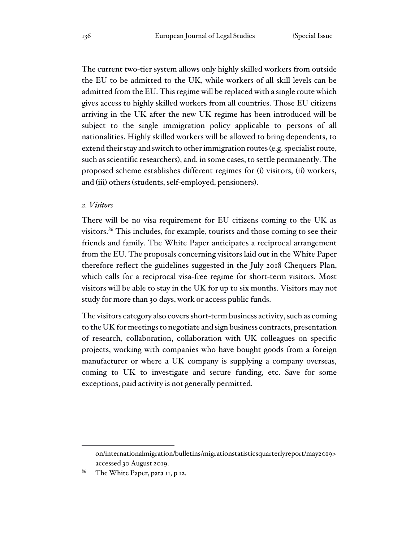The current two-tier system allows only highly skilled workers from outside the EU to be admitted to the UK, while workers of all skill levels can be admitted from the EU. This regime will be replaced with a single route which gives access to highly skilled workers from all countries. Those EU citizens arriving in the UK after the new UK regime has been introduced will be subject to the single immigration policy applicable to persons of all nationalities. Highly skilled workers will be allowed to bring dependents, to extend their stay and switch to other immigration routes (e.g. specialist route, such as scientific researchers), and, in some cases, to settle permanently. The proposed scheme establishes different regimes for (i) visitors, (ii) workers, and (iii) others (students, self-employed, pensioners).

#### *2. Visitors*

There will be no visa requirement for EU citizens coming to the UK as visitors.<sup>86</sup> This includes, for example, tourists and those coming to see their friends and family. The White Paper anticipates a reciprocal arrangement from the EU. The proposals concerning visitors laid out in the White Paper therefore reflect the guidelines suggested in the July 2018 Chequers Plan, which calls for a reciprocal visa-free regime for short-term visitors. Most visitors will be able to stay in the UK for up to six months. Visitors may not study for more than 30 days, work or access public funds.

The visitors category also covers short-term business activity, such as coming to the UK for meetings to negotiate and sign business contracts, presentation of research, collaboration, collaboration with UK colleagues on specific projects, working with companies who have bought goods from a foreign manufacturer or where a UK company is supplying a company overseas, coming to UK to investigate and secure funding, etc. Save for some exceptions, paid activity is not generally permitted.

on/internationalmigration/bulletins/migrationstatisticsquarterlyreport/may2019> accessed 30 August 2019.

<sup>&</sup>lt;sup>86</sup> The White Paper, para 11, p 12.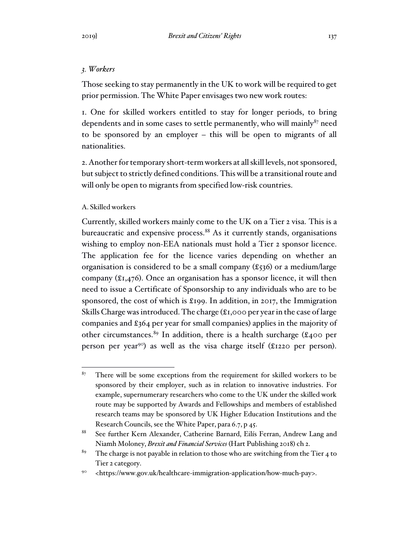Those seeking to stay permanently in the UK to work will be required to get prior permission. The White Paper envisages two new work routes:

1. One for skilled workers entitled to stay for longer periods, to bring dependents and in some cases to settle permanently, who will mainly $87$  need to be sponsored by an employer – this will be open to migrants of all nationalities.

2. Another for temporary short-term workers at all skill levels, not sponsored, but subject to strictly defined conditions. This will be a transitional route and will only be open to migrants from specified low-risk countries.

# A. Skilled workers

Currently, skilled workers mainly come to the UK on a Tier 2 visa. This is a bureaucratic and expensive process.<sup>88</sup> As it currently stands, organisations wishing to employ non-EEA nationals must hold a Tier 2 sponsor licence. The application fee for the licence varies depending on whether an organisation is considered to be a small company  $(\text{\textsterling}536)$  or a medium/large company (£1,476). Once an organisation has a sponsor licence, it will then need to issue a Certificate of Sponsorship to any individuals who are to be sponsored, the cost of which is £199. In addition, in 2017, the Immigration Skills Charge was introduced. The charge (£1,000 per year in the case of large companies and £364 per year for small companies) applies in the majority of other circumstances.<sup>89</sup> In addition, there is a health surcharge (£400 per person per year<sup>90</sup>) as well as the visa charge itself (£1220 per person).

 $87$  There will be some exceptions from the requirement for skilled workers to be sponsored by their employer, such as in relation to innovative industries. For example, supernumerary researchers who come to the UK under the skilled work route may be supported by Awards and Fellowships and members of established research teams may be sponsored by UK Higher Education Institutions and the Research Councils, see the White Paper, para 6.7, p 45.

<sup>88</sup> See further Kern Alexander, Catherine Barnard, Eilís Ferran, Andrew Lang and Niamh Moloney, *Brexit and Financial Services* (Hart Publishing 2018) ch 2.

<sup>&</sup>lt;sup>89</sup> The charge is not payable in relation to those who are switching from the Tier 4 to Tier 2 category.

<sup>90</sup> <https://www.gov.uk/healthcare-immigration-application/how-much-pay>.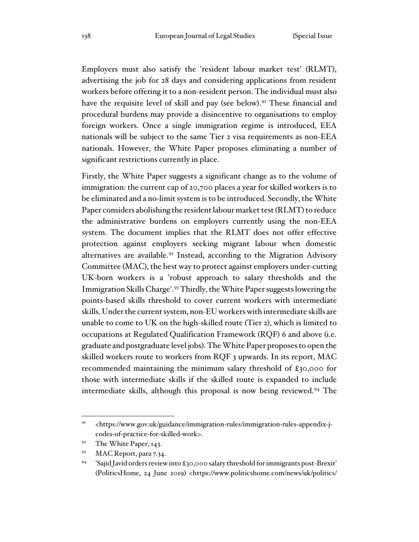Employers must also satisfy the 'resident labour market test' (RLMT), advertising the job for 28 days and considering applications from resident workers before offering it to a non-resident person. The individual must also have the requisite level of skill and pay (see below).<sup>91</sup> These financial and procedural burdens may provide a disincentive to organisations to employ foreign workers. Once a single immigration regime is introduced, EEA nationals will be subject to the same Tier 2 visa requirements as non-EEA nationals. However, the White Paper proposes eliminating a number of significant restrictions currently in place.

Firstly, the White Paper suggests a significant change as to the volume of immigration: the current cap of 20,700 places a year for skilled workers is to be eliminated and a no-limit system is to be introduced. Secondly, the White Paper considers abolishing the resident labour market test (RLMT) to reduce the administrative burdens on employers currently using the non-EEA system. The document implies that the RLMT does not offer effective protection against employers seeking migrant labour when domestic alternatives are available.<sup>92</sup> Instead, according to the Migration Advisory Committee (MAC), the best way to protect against employers under-cutting UK-born workers is a 'robust approach to salary thresholds and the Immigration Skills Charge'.<sup>93</sup> Thirdly, the White Paper suggests lowering the points-based skills threshold to cover current workers with intermediate skills. Under the current system, non-EU workers with intermediate skills are unable to come to UK on the high-skilled route (Tier 2), which is limited to occupations at Regulated Qualification Framework (RQF) 6 and above (i.e. graduate and postgraduate level jobs). The White Paper proposes to open the skilled workers route to workers from RQF 3 upwards. In its report, MAC recommended maintaining the minimum salary threshold of £30,000 for those with intermediate skills if the skilled route is expanded to include intermediate skills, although this proposal is now being reviewed.<sup>94</sup> The

<sup>91</sup> <https://www.gov.uk/guidance/immigration-rules/immigration-rules-appendix-jcodes-of-practice-for-skilled-work>.

<sup>&</sup>lt;sup>92</sup> The White Paper, 143.

<sup>93</sup> MAC Report, para 7.34.

<sup>94</sup> 'Sajid Javid orders review into £30,000 salary threshold for immigrants post-Brexit' (PoliticsHome, 24 June 2019) <https://www.politicshome.com/news/uk/politics/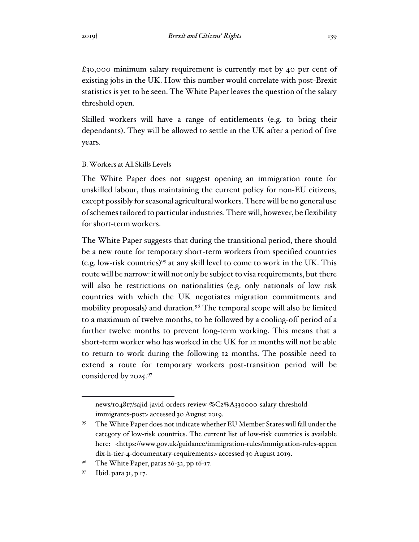£30,000 minimum salary requirement is currently met by 40 per cent of existing jobs in the UK. How this number would correlate with post-Brexit statistics is yet to be seen. The White Paper leaves the question of the salary threshold open.

Skilled workers will have a range of entitlements (e.g. to bring their dependants). They will be allowed to settle in the UK after a period of five years.

#### B. Workers at All Skills Levels

The White Paper does not suggest opening an immigration route for unskilled labour, thus maintaining the current policy for non-EU citizens, except possibly for seasonal agricultural workers. There will be no general use of schemes tailored to particular industries. There will, however, be flexibility for short-term workers.

The White Paper suggests that during the transitional period, there should be a new route for temporary short-term workers from specified countries (e.g. low-risk countries)<sup>95</sup> at any skill level to come to work in the UK. This route will be narrow: it will not only be subject to visa requirements, but there will also be restrictions on nationalities (e.g. only nationals of low risk countries with which the UK negotiates migration commitments and mobility proposals) and duration.<sup>96</sup> The temporal scope will also be limited to a maximum of twelve months, to be followed by a cooling-off period of a further twelve months to prevent long-term working. This means that a short-term worker who has worked in the UK for 12 months will not be able to return to work during the following 12 months. The possible need to extend a route for temporary workers post-transition period will be considered by 2025.<sup>97</sup>

news/104817/sajid-javid-orders-review-%C2%A330000-salary-thresholdimmigrants-post> accessed 30 August 2019.

<sup>95</sup> The White Paper does not indicate whether EU Member States will fall under the category of low-risk countries. The current list of low-risk countries is available here: <https://www.gov.uk/guidance/immigration-rules/immigration-rules-appen dix-h-tier-4-documentary-requirements> accessed 30 August 2019.

<sup>&</sup>lt;sup>96</sup> The White Paper, paras 26-32, pp  $16-17$ .

<sup>97</sup> Ibid. para 31, p 17.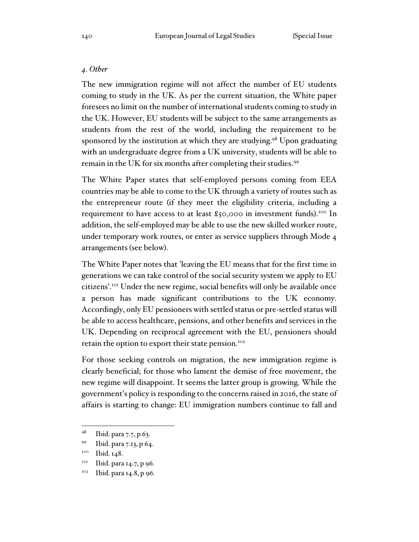## *4. Other*

The new immigration regime will not affect the number of EU students coming to study in the UK. As per the current situation, the White paper foresees no limit on the number of international students coming to study in the UK. However, EU students will be subject to the same arrangements as students from the rest of the world, including the requirement to be sponsored by the institution at which they are studying.<sup>98</sup> Upon graduating with an undergraduate degree from a UK university, students will be able to remain in the UK for six months after completing their studies.<sup>99</sup>

The White Paper states that self-employed persons coming from EEA countries may be able to come to the UK through a variety of routes such as the entrepreneur route (if they meet the eligibility criteria, including a requirement to have access to at least £50,000 in investment funds).<sup>100</sup> In addition, the self-employed may be able to use the new skilled worker route, under temporary work routes, or enter as service suppliers through Mode 4 arrangements (see below).

The White Paper notes that 'leaving the EU means that for the first time in generations we can take control of the social security system we apply to EU citizens'.<sup>101</sup> Under the new regime, social benefits will only be available once a person has made significant contributions to the UK economy. Accordingly, only EU pensioners with settled status or pre-settled status will be able to access healthcare, pensions, and other benefits and services in the UK. Depending on reciprocal agreement with the EU, pensioners should retain the option to export their state pension.<sup>102</sup>

For those seeking controls on migration, the new immigration regime is clearly beneficial; for those who lament the demise of free movement, the new regime will disappoint. It seems the latter group is growing. While the government's policy is responding to the concerns raised in 2016, the state of affairs is starting to change: EU immigration numbers continue to fall and

 $101$  Ibid. para 14.7, p 96.

<sup>98</sup> Ibid. para 7.7, p 63.

<sup>99</sup> Ibid. para 7.13, p 64.

<sup>&</sup>lt;sup>100</sup> Ibid. 148.

<sup>&</sup>lt;sup>102</sup> Ibid. para 14.8, p 96.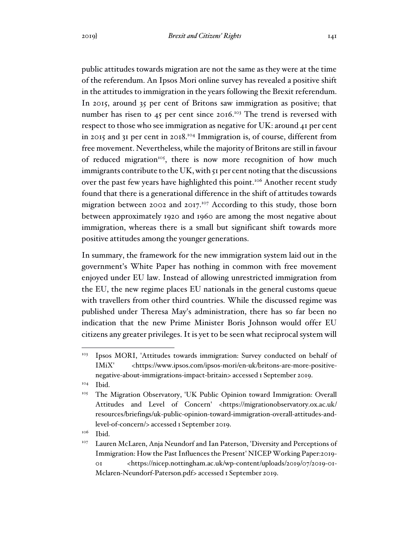public attitudes towards migration are not the same as they were at the time of the referendum. An Ipsos Mori online survey has revealed a positive shift in the attitudes to immigration in the years following the Brexit referendum. In 2015, around 35 per cent of Britons saw immigration as positive; that number has risen to 45 per cent since 2016.<sup>103</sup> The trend is reversed with respect to those who see immigration as negative for UK: around 41 per cent in 2015 and 31 per cent in 2018.<sup>104</sup> Immigration is, of course, different from free movement. Nevertheless, while the majority of Britons are still in favour of reduced migration<sup>105</sup>, there is now more recognition of how much immigrants contribute to the UK, with 51 per cent noting that the discussions over the past few years have highlighted this point.<sup>106</sup> Another recent study found that there is a generational difference in the shift of attitudes towards migration between 2002 and 2017.<sup>107</sup> According to this study, those born between approximately 1920 and 1960 are among the most negative about immigration, whereas there is a small but significant shift towards more positive attitudes among the younger generations.

In summary, the framework for the new immigration system laid out in the government's White Paper has nothing in common with free movement enjoyed under EU law. Instead of allowing unrestricted immigration from the EU, the new regime places EU nationals in the general customs queue with travellers from other third countries. While the discussed regime was published under Theresa May's administration, there has so far been no indication that the new Prime Minister Boris Johnson would offer EU citizens any greater privileges. It is yet to be seen what reciprocal system will

 $106$  Ibid.

<sup>103</sup> Ipsos MORI, 'Attitudes towards immigration: Survey conducted on behalf of IMiX' <https://www.ipsos.com/ipsos-mori/en-uk/britons-are-more-positivenegative-about-immigrations-impact-britain> accessed 1 September 2019.

<sup>104</sup> Ibid.

<sup>&</sup>lt;sup>105</sup> The Migration Observatory, 'UK Public Opinion toward Immigration: Overall Attitudes and Level of Concern' <https://migrationobservatory.ox.ac.uk/ resources/briefings/uk-public-opinion-toward-immigration-overall-attitudes-andlevel-of-concern/> accessed 1 September 2019.

<sup>&</sup>lt;sup>107</sup> Lauren McLaren, Anja Neundorf and Ian Paterson, 'Diversity and Perceptions of Immigration: How the Past Influences the Present' NICEP Working Paper:2019- 01 <https://nicep.nottingham.ac.uk/wp-content/uploads/2019/07/2019-01- Mclaren-Neundorf-Paterson.pdf> accessed 1 September 2019.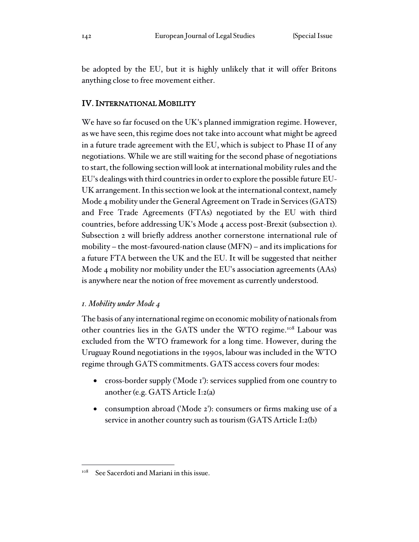be adopted by the EU, but it is highly unlikely that it will offer Britons anything close to free movement either.

# IV. INTERNATIONAL MOBILITY

We have so far focused on the UK's planned immigration regime. However, as we have seen, this regime does not take into account what might be agreed in a future trade agreement with the EU, which is subject to Phase II of any negotiations. While we are still waiting for the second phase of negotiations to start, the following section will look at international mobility rules and the EU's dealings with third countries in order to explore the possible future EU-UK arrangement. In this section we look at the international context, namely Mode 4 mobility under the General Agreement on Trade in Services (GATS) and Free Trade Agreements (FTAs) negotiated by the EU with third countries, before addressing UK's Mode 4 access post-Brexit (subsection 1). Subsection 2 will briefly address another cornerstone international rule of mobility – the most-favoured-nation clause (MFN) – and its implications for a future FTA between the UK and the EU. It will be suggested that neither Mode 4 mobility nor mobility under the EU's association agreements (AAs) is anywhere near the notion of free movement as currently understood.

## *1. Mobility under Mode 4*

The basis of any international regime on economic mobility of nationals from other countries lies in the GATS under the WTO regime.<sup>108</sup> Labour was excluded from the WTO framework for a long time. However, during the Uruguay Round negotiations in the 1990s, labour was included in the WTO regime through GATS commitments. GATS access covers four modes:

- cross-border supply ('Mode 1'): services supplied from one country to another (e.g. GATS Article I:2(a)
- consumption abroad ('Mode 2'): consumers or firms making use of a service in another country such as tourism (GATS Article I:2(b)

<sup>&</sup>lt;sup>108</sup> See Sacerdoti and Mariani in this issue.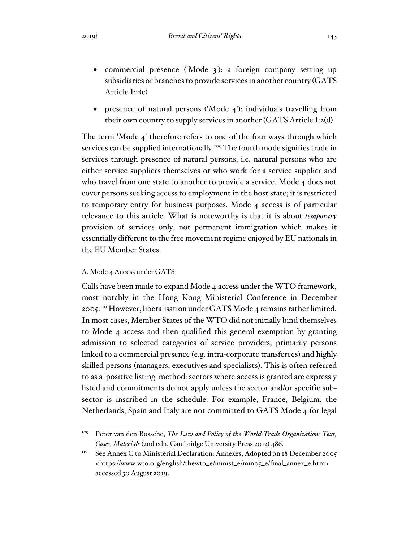- commercial presence ('Mode 3'): a foreign company setting up subsidiaries or branches to provide services in another country (GATS Article I:2(c)
- presence of natural persons ('Mode 4'): individuals travelling from their own country to supply services in another (GATS Article I:2(d)

The term 'Mode 4' therefore refers to one of the four ways through which services can be supplied internationally.<sup>109</sup> The fourth mode signifies trade in services through presence of natural persons, i.e. natural persons who are either service suppliers themselves or who work for a service supplier and who travel from one state to another to provide a service. Mode 4 does not cover persons seeking access to employment in the host state; it is restricted to temporary entry for business purposes. Mode 4 access is of particular relevance to this article. What is noteworthy is that it is about *temporary* provision of services only, not permanent immigration which makes it essentially different to the free movement regime enjoyed by EU nationals in the EU Member States.

### A. Mode 4 Access under GATS

Calls have been made to expand Mode 4 access under the WTO framework, most notably in the Hong Kong Ministerial Conference in December 2005.<sup>110</sup> However, liberalisation under GATS Mode 4 remains rather limited. In most cases, Member States of the WTO did not initially bind themselves to Mode 4 access and then qualified this general exemption by granting admission to selected categories of service providers, primarily persons linked to a commercial presence (e.g. intra-corporate transferees) and highly skilled persons (managers, executives and specialists). This is often referred to as a 'positive listing' method: sectors where access is granted are expressly listed and commitments do not apply unless the sector and/or specific subsector is inscribed in the schedule. For example, France, Belgium, the Netherlands, Spain and Italy are not committed to GATS Mode 4 for legal

<sup>&</sup>lt;sup>109</sup> Peter van den Bossche, *The Law and Policy of the World Trade Organization: Text*, *Cases, Materials* (2nd edn, Cambridge University Press 2012) 486.

<sup>&</sup>lt;sup>110</sup> See Annex C to Ministerial Declaration: Annexes, Adopted on 18 December 2005 <https://www.wto.org/english/thewto\_e/minist\_e/min05\_e/final\_annex\_e.htm> accessed 30 August 2019.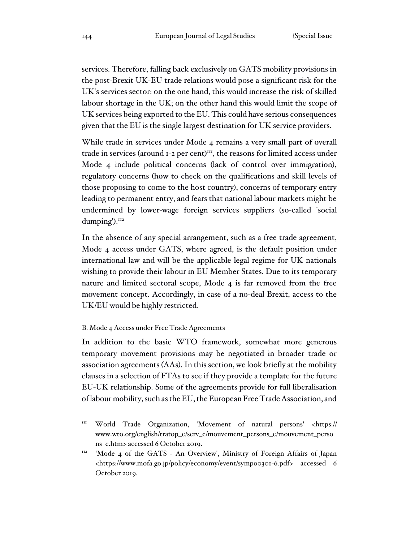services. Therefore, falling back exclusively on GATS mobility provisions in the post-Brexit UK-EU trade relations would pose a significant risk for the UK's services sector: on the one hand, this would increase the risk of skilled labour shortage in the UK; on the other hand this would limit the scope of UK services being exported to the EU. This could have serious consequences given that the EU is the single largest destination for UK service providers.

While trade in services under Mode 4 remains a very small part of overall trade in services (around 1-2 per cent)<sup>111</sup>, the reasons for limited access under Mode 4 include political concerns (lack of control over immigration), regulatory concerns (how to check on the qualifications and skill levels of those proposing to come to the host country), concerns of temporary entry leading to permanent entry, and fears that national labour markets might be undermined by lower-wage foreign services suppliers (so-called 'social dumping').<sup>112</sup>

In the absence of any special arrangement, such as a free trade agreement, Mode 4 access under GATS, where agreed, is the default position under international law and will be the applicable legal regime for UK nationals wishing to provide their labour in EU Member States. Due to its temporary nature and limited sectoral scope, Mode 4 is far removed from the free movement concept. Accordingly, in case of a no-deal Brexit, access to the UK/EU would be highly restricted.

### B. Mode 4 Access under Free Trade Agreements

In addition to the basic WTO framework, somewhat more generous temporary movement provisions may be negotiated in broader trade or association agreements (AAs). In this section, we look briefly at the mobility clauses in a selection of FTAs to see if they provide a template for the future EU-UK relationship. Some of the agreements provide for full liberalisation of labour mobility, such as the EU, the European Free Trade Association, and

<sup>&</sup>lt;sup>111</sup> World Trade Organization, 'Movement of natural persons' <https:// www.wto.org/english/tratop\_e/serv\_e/mouvement\_persons\_e/mouvement\_perso ns\_e.htm> accessed 6 October 2019.

<sup>112</sup> 'Mode 4 of the GATS - An Overview', Ministry of Foreign Affairs of Japan <https://www.mofa.go.jp/policy/economy/event/sympo0301-6.pdf> accessed 6 October 2019.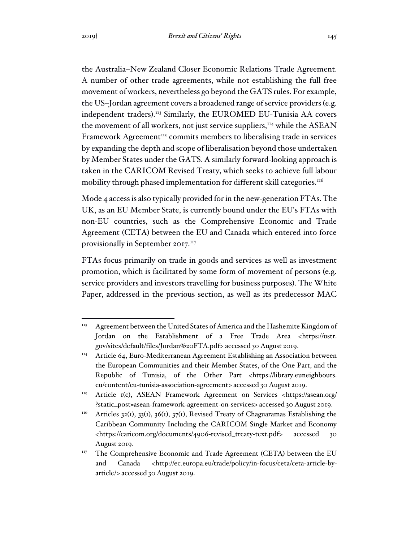the Australia–New Zealand Closer Economic Relations Trade Agreement. A number of other trade agreements, while not establishing the full free movement of workers, nevertheless go beyond the GATS rules. For example, the US–Jordan agreement covers a broadened range of service providers (e.g. independent traders).<sup>113</sup> Similarly, the EUROMED EU-Tunisia AA covers the movement of all workers, not just service suppliers,<sup>114</sup> while the ASEAN Framework Agreement<sup>115</sup> commits members to liberalising trade in services by expanding the depth and scope of liberalisation beyond those undertaken by Member States under the GATS. A similarly forward-looking approach is taken in the CARICOM Revised Treaty, which seeks to achieve full labour mobility through phased implementation for different skill categories.<sup>116</sup>

Mode 4 access is also typically provided for in the new-generation FTAs. The UK, as an EU Member State, is currently bound under the EU's FTAs with non-EU countries, such as the Comprehensive Economic and Trade Agreement (CETA) between the EU and Canada which entered into force provisionally in September 2017.<sup>117</sup>

FTAs focus primarily on trade in goods and services as well as investment promotion, which is facilitated by some form of movement of persons (e.g. service providers and investors travelling for business purposes). The White Paper, addressed in the previous section, as well as its predecessor MAC

 $113$  Agreement between the United States of America and the Hashemite Kingdom of Jordan on the Establishment of a Free Trade Area <https://ustr. gov/sites/default/files/Jordan%20FTA.pdf> accessed 30 August 2019.

 $114$  Article 64, Euro-Mediterranean Agreement Establishing an Association between the European Communities and their Member States, of the One Part, and the Republic of Tunisia, of the Other Part <https://library.euneighbours. eu/content/eu-tunisia-association-agreement> accessed 30 August 2019.

<sup>115</sup> Article 1(c), ASEAN Framework Agreement on Services <https://asean.org/ ?static\_post=asean-framework-agreement-on-services> accessed 30 August 2019.

 $116$  Articles 32(1), 33(1), 36(1), 37(1), Revised Treaty of Chaguaramas Establishing the Caribbean Community Including the CARICOM Single Market and Economy <https://caricom.org/documents/4906-revised\_treaty-text.pdf> accessed 30 August 2019.

<sup>&</sup>lt;sup>117</sup> The Comprehensive Economic and Trade Agreement (CETA) between the EU and Canada <http://ec.europa.eu/trade/policy/in-focus/ceta/ceta-article-byarticle/> accessed 30 August 2019.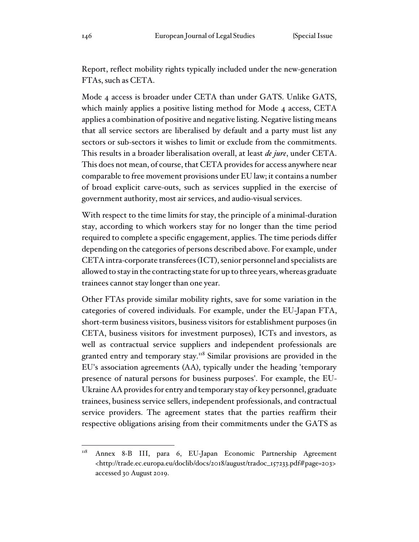Report, reflect mobility rights typically included under the new-generation FTAs, such as CETA.

Mode 4 access is broader under CETA than under GATS. Unlike GATS, which mainly applies a positive listing method for Mode 4 access, CETA applies a combination of positive and negative listing. Negative listing means that all service sectors are liberalised by default and a party must list any sectors or sub-sectors it wishes to limit or exclude from the commitments. This results in a broader liberalisation overall, at least *de jure*, under CETA. This does not mean, of course, that CETA provides for access anywhere near comparable to free movement provisions under EU law; it contains a number of broad explicit carve-outs, such as services supplied in the exercise of government authority, most air services, and audio-visual services.

With respect to the time limits for stay, the principle of a minimal-duration stay, according to which workers stay for no longer than the time period required to complete a specific engagement, applies. The time periods differ depending on the categories of persons described above. For example, under CETA intra-corporate transferees (ICT), senior personnel and specialists are allowed to stay in the contracting state for up to three years, whereas graduate trainees cannot stay longer than one year.

Other FTAs provide similar mobility rights, save for some variation in the categories of covered individuals. For example, under the EU-Japan FTA, short-term business visitors, business visitors for establishment purposes (in CETA, business visitors for investment purposes), ICTs and investors, as well as contractual service suppliers and independent professionals are granted entry and temporary stay.<sup>118</sup> Similar provisions are provided in the EU's association agreements (AA), typically under the heading 'temporary presence of natural persons for business purposes'. For example, the EU-Ukraine AA provides for entry and temporary stay of key personnel, graduate trainees, business service sellers, independent professionals, and contractual service providers. The agreement states that the parties reaffirm their respective obligations arising from their commitments under the GATS as

<sup>&</sup>lt;sup>118</sup> Annex 8-B III, para 6, EU-Japan Economic Partnership Agreement <http://trade.ec.europa.eu/doclib/docs/2018/august/tradoc\_157233.pdf#page=203> accessed 30 August 2019.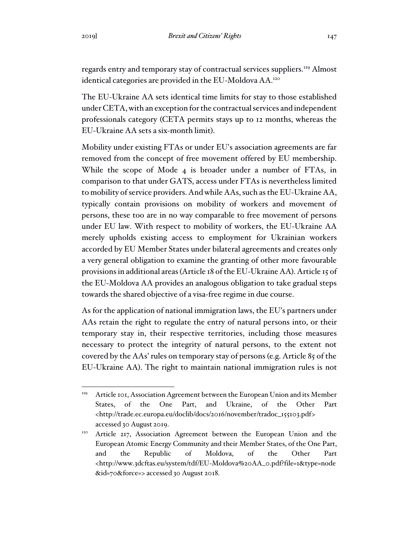regards entry and temporary stay of contractual services suppliers.<sup>119</sup> Almost identical categories are provided in the EU-Moldova AA.<sup>120</sup>

The EU-Ukraine AA sets identical time limits for stay to those established under CETA, with an exception for the contractual services and independent professionals category (CETA permits stays up to 12 months, whereas the EU-Ukraine AA sets a six-month limit).

Mobility under existing FTAs or under EU's association agreements are far removed from the concept of free movement offered by EU membership. While the scope of Mode 4 is broader under a number of FTAs, in comparison to that under GATS, access under FTAs is nevertheless limited to mobility of service providers. And while AAs, such as the EU-Ukraine AA, typically contain provisions on mobility of workers and movement of persons, these too are in no way comparable to free movement of persons under EU law. With respect to mobility of workers, the EU-Ukraine AA merely upholds existing access to employment for Ukrainian workers accorded by EU Member States under bilateral agreements and creates only a very general obligation to examine the granting of other more favourable provisions in additional areas (Article 18 of the EU-Ukraine AA). Article 15 of the EU-Moldova AA provides an analogous obligation to take gradual steps towards the shared objective of a visa-free regime in due course.

As for the application of national immigration laws, the EU's partners under AAs retain the right to regulate the entry of natural persons into, or their temporary stay in, their respective territories, including those measures necessary to protect the integrity of natural persons, to the extent not covered by the AAs' rules on temporary stay of persons (e.g. Article 85 of the EU-Ukraine AA). The right to maintain national immigration rules is not

<sup>&</sup>lt;sup>119</sup> Article 101, Association Agreement between the European Union and its Member States, of the One Part, and Ukraine, of the Other Part <http://trade.ec.europa.eu/doclib/docs/2016/november/tradoc\_155103.pdf> accessed 30 August 2019.

<sup>&</sup>lt;sup>120</sup> Article 217, Association Agreement between the European Union and the European Atomic Energy Community and their Member States, of the One Part, and the Republic of Moldova, of the Other Part <http://www.3dcftas.eu/system/tdf/EU-Moldova%20AA\_0.pdf?file=1&type=node &id=70&force=> accessed 30 August 2018.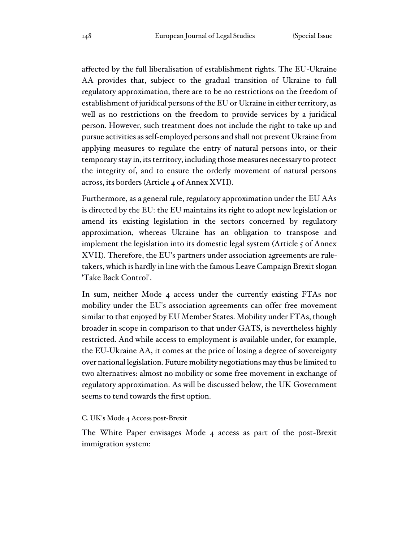affected by the full liberalisation of establishment rights. The EU-Ukraine AA provides that, subject to the gradual transition of Ukraine to full regulatory approximation, there are to be no restrictions on the freedom of establishment of juridical persons of the EU or Ukraine in either territory, as well as no restrictions on the freedom to provide services by a juridical person. However, such treatment does not include the right to take up and pursue activities as self-employed persons and shall not prevent Ukraine from applying measures to regulate the entry of natural persons into, or their temporary stay in, its territory, including those measures necessary to protect the integrity of, and to ensure the orderly movement of natural persons across, its borders (Article 4 of Annex XVII).

Furthermore, as a general rule, regulatory approximation under the EU AAs is directed by the EU: the EU maintains its right to adopt new legislation or amend its existing legislation in the sectors concerned by regulatory approximation, whereas Ukraine has an obligation to transpose and implement the legislation into its domestic legal system (Article 5 of Annex XVII). Therefore, the EU's partners under association agreements are ruletakers, which is hardly in line with the famous Leave Campaign Brexit slogan 'Take Back Control'.

In sum, neither Mode 4 access under the currently existing FTAs nor mobility under the EU's association agreements can offer free movement similar to that enjoyed by EU Member States. Mobility under FTAs, though broader in scope in comparison to that under GATS, is nevertheless highly restricted. And while access to employment is available under, for example, the EU-Ukraine AA, it comes at the price of losing a degree of sovereignty over national legislation. Future mobility negotiations may thus be limited to two alternatives: almost no mobility or some free movement in exchange of regulatory approximation. As will be discussed below, the UK Government seems to tend towards the first option.

#### C. UK's Mode 4 Access post-Brexit

The White Paper envisages Mode 4 access as part of the post-Brexit immigration system: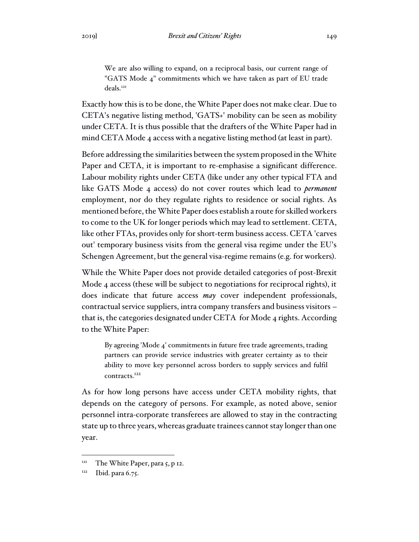We are also willing to expand, on a reciprocal basis, our current range of "GATS Mode 4" commitments which we have taken as part of EU trade deals.<sup>121</sup>

Exactly how this is to be done, the White Paper does not make clear. Due to CETA's negative listing method, 'GATS+' mobility can be seen as mobility under CETA. It is thus possible that the drafters of the White Paper had in mind CETA Mode 4 access with a negative listing method (at least in part).

Before addressing the similarities between the system proposed in the White Paper and CETA, it is important to re-emphasise a significant difference. Labour mobility rights under CETA (like under any other typical FTA and like GATS Mode 4 access) do not cover routes which lead to *permanent* employment, nor do they regulate rights to residence or social rights. As mentioned before, the White Paper does establish a route for skilled workers to come to the UK for longer periods which may lead to settlement. CETA, like other FTAs, provides only for short-term business access. CETA 'carves out' temporary business visits from the general visa regime under the EU's Schengen Agreement, but the general visa-regime remains (e.g. for workers).

While the White Paper does not provide detailed categories of post-Brexit Mode 4 access (these will be subject to negotiations for reciprocal rights), it does indicate that future access *may* cover independent professionals, contractual service suppliers, intra company transfers and business visitors – that is, the categories designated under CETA for Mode 4 rights. According to the White Paper:

By agreeing 'Mode 4' commitments in future free trade agreements, trading partners can provide service industries with greater certainty as to their ability to move key personnel across borders to supply services and fulfil contracts.<sup>122</sup>

As for how long persons have access under CETA mobility rights, that depends on the category of persons. For example, as noted above, senior personnel intra-corporate transferees are allowed to stay in the contracting state up to three years, whereas graduate trainees cannot stay longer than one year.

 $121$  The White Paper, para 5, p 12.

 $122$  Ibid. para 6.75.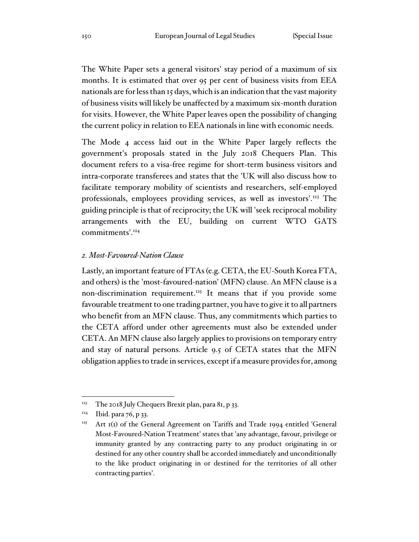The White Paper sets a general visitors' stay period of a maximum of six months. It is estimated that over 95 per cent of business visits from EEA nationals are for less than 15 days, which is an indication that the vast majority of business visits will likely be unaffected by a maximum six-month duration for visits. However, the White Paper leaves open the possibility of changing the current policy in relation to EEA nationals in line with economic needs.

The Mode 4 access laid out in the White Paper largely reflects the government's proposals stated in the July 2018 Chequers Plan. This document refers to a visa-free regime for short-term business visitors and intra-corporate transferees and states that the 'UK will also discuss how to facilitate temporary mobility of scientists and researchers, self-employed professionals, employees providing services, as well as investors'.<sup>123</sup> The guiding principle is that of reciprocity; the UK will 'seek reciprocal mobility arrangements with the EU, building on current WTO GATS commitments'.<sup>124</sup>

## *2. Most-Favoured-Nation Clause*

Lastly, an important feature of FTAs (e.g. CETA, the EU-South Korea FTA, and others) is the 'most-favoured-nation' (MFN) clause. An MFN clause is a non-discrimination requirement.<sup>125</sup> It means that if you provide some favourable treatment to one trading partner, you have to give it to all partners who benefit from an MFN clause. Thus, any commitments which parties to the CETA afford under other agreements must also be extended under CETA. An MFN clause also largely applies to provisions on temporary entry and stay of natural persons. Article 9.5 of CETA states that the MFN obligation applies to trade in services, except if a measure provides for, among

 $123$  The 2018 July Chequers Brexit plan, para 81, p 33.

 $124$  Ibid. para 76, p 33.

<sup>&</sup>lt;sup>125</sup> Art  $I(I)$  of the General Agreement on Tariffs and Trade 1994 entitled 'General Most-Favoured-Nation Treatment' states that 'any advantage, favour, privilege or immunity granted by any contracting party to any product originating in or destined for any other country shall be accorded immediately and unconditionally to the like product originating in or destined for the territories of all other contracting parties'.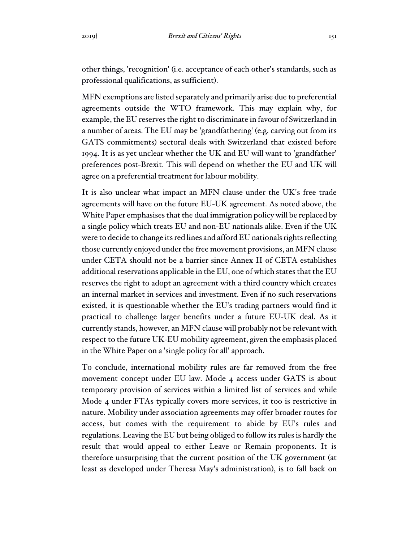other things, 'recognition' (i.e. acceptance of each other's standards, such as professional qualifications, as sufficient).

MFN exemptions are listed separately and primarily arise due to preferential agreements outside the WTO framework. This may explain why, for example, the EU reserves the right to discriminate in favour of Switzerland in a number of areas. The EU may be 'grandfathering' (e.g. carving out from its GATS commitments) sectoral deals with Switzerland that existed before 1994. It is as yet unclear whether the UK and EU will want to 'grandfather' preferences post-Brexit. This will depend on whether the EU and UK will agree on a preferential treatment for labour mobility.

It is also unclear what impact an MFN clause under the UK's free trade agreements will have on the future EU-UK agreement. As noted above, the White Paper emphasises that the dual immigration policy will be replaced by a single policy which treats EU and non-EU nationals alike. Even if the UK were to decide to change its red lines and afford EU nationals rights reflecting those currently enjoyed under the free movement provisions, an MFN clause under CETA should not be a barrier since Annex II of CETA establishes additional reservations applicable in the EU, one of which states that the EU reserves the right to adopt an agreement with a third country which creates an internal market in services and investment. Even if no such reservations existed, it is questionable whether the EU's trading partners would find it practical to challenge larger benefits under a future EU-UK deal. As it currently stands, however, an MFN clause will probably not be relevant with respect to the future UK-EU mobility agreement, given the emphasis placed in the White Paper on a 'single policy for all' approach.

To conclude, international mobility rules are far removed from the free movement concept under EU law. Mode 4 access under GATS is about temporary provision of services within a limited list of services and while Mode 4 under FTAs typically covers more services, it too is restrictive in nature. Mobility under association agreements may offer broader routes for access, but comes with the requirement to abide by EU's rules and regulations. Leaving the EU but being obliged to follow its rules is hardly the result that would appeal to either Leave or Remain proponents. It is therefore unsurprising that the current position of the UK government (at least as developed under Theresa May's administration), is to fall back on